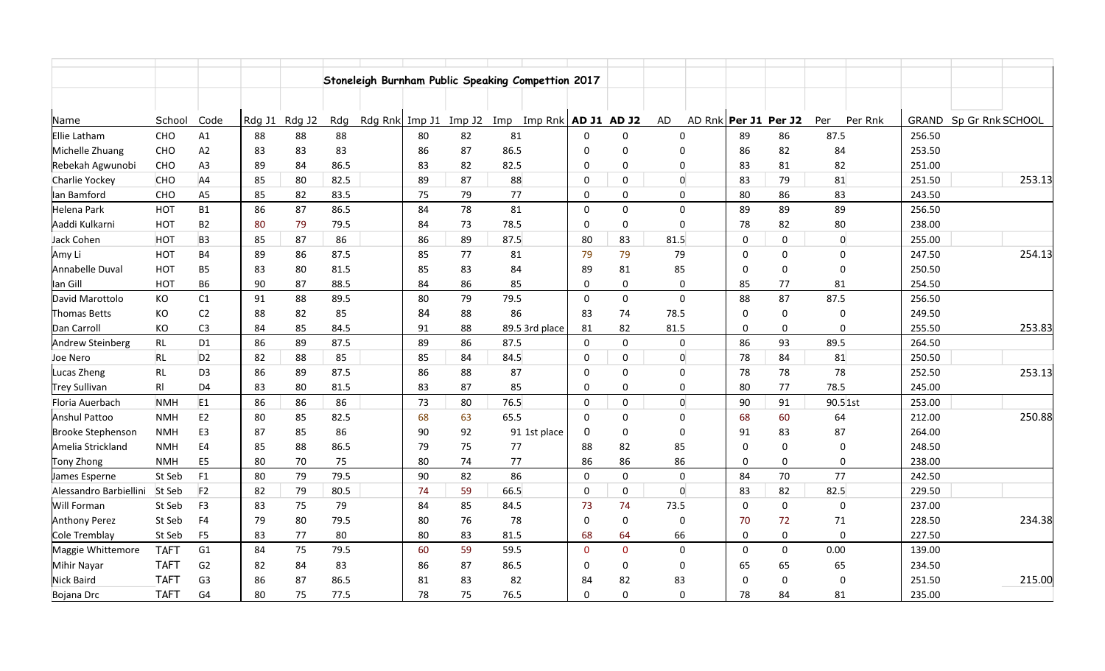|                          |                |                |        |        |      |                | Stoneleigh Burnham Public Speaking Compettion 2017 |        |      |                          |              |              |      |                |             |                      |      |                  |              |                  |        |
|--------------------------|----------------|----------------|--------|--------|------|----------------|----------------------------------------------------|--------|------|--------------------------|--------------|--------------|------|----------------|-------------|----------------------|------|------------------|--------------|------------------|--------|
|                          |                |                |        |        |      |                |                                                    |        |      |                          |              |              |      |                |             |                      |      |                  |              |                  |        |
| Name                     | School         | Code           | Rdg J1 | Rdg J2 | Rdg  | Rdg Rnk Imp J1 |                                                    | Imp J2 |      | Imp Imp Rnk $ADJ1$ AD J2 |              |              | AD   |                |             | AD Rnk Per J1 Per J2 | Per  | Per Rnk          | <b>GRAND</b> | Sp Gr Rnk SCHOOL |        |
| Ellie Latham             | CHO            | A1             | 88     | 88     | 88   |                | 80                                                 | 82     | 81   |                          | 0            | $\Omega$     |      | $\Omega$       | 89          | 86                   | 87.5 |                  | 256.50       |                  |        |
| Michelle Zhuang          | CHO            | A2             | 83     | 83     | 83   |                | 86                                                 | 87     | 86.5 |                          | $\Omega$     | $\Omega$     |      | $\Omega$       | 86          | 82                   |      | 84               | 253.50       |                  |        |
| Rebekah Agwunobi         | CHO            | A <sub>3</sub> | 89     | 84     | 86.5 |                | 83                                                 | 82     | 82.5 |                          | 0            | $\Omega$     |      | $\Omega$       | 83          | 81                   |      | 82               | 251.00       |                  |        |
| Charlie Yockey           | CHO            | AA             | 85     | 80     | 82.5 |                | 89                                                 | 87     | 88   |                          | 0            | $\mathbf 0$  |      | $\mathbf 0$    | 83          | 79                   |      | 81               | 251.50       |                  | 253.13 |
| lan Bamford              | CHO            | A <sub>5</sub> | 85     | 82     | 83.5 |                | 75                                                 | 79     | 77   |                          | $\mathbf{0}$ | $\mathbf{0}$ |      | $\mathbf 0$    | 80          | 86                   |      | 83               | 243.50       |                  |        |
| Helena Park              | HOT            | <b>B1</b>      | 86     | 87     | 86.5 |                | 84                                                 | 78     | 81   |                          | $\mathbf 0$  | $\mathbf 0$  |      | $\mathbf 0$    | 89          | 89                   |      | 89               | 256.50       |                  |        |
| Aaddi Kulkarni           | <b>HOT</b>     | B <sub>2</sub> | 80     | 79     | 79.5 |                | 84                                                 | 73     | 78.5 |                          | 0            | 0            |      | $\mathbf 0$    | 78          | 82                   |      | 80               | 238.00       |                  |        |
| Jack Cohen               | <b>HOT</b>     | B <sub>3</sub> | 85     | 87     | 86   |                | 86                                                 | 89     | 87.5 |                          | 80           | 83           | 81.5 |                | $\mathbf 0$ | $\mathbf 0$          |      | $\boldsymbol{0}$ | 255.00       |                  |        |
| Amy Li                   | <b>HOT</b>     | <b>B4</b>      | 89     | 86     | 87.5 |                | 85                                                 | 77     | 81   |                          | 79           | 79           | 79   |                | $\Omega$    | $\mathbf 0$          |      | $\overline{0}$   | 247.50       |                  | 254.13 |
| Annabelle Duval          | <b>HOT</b>     | <b>B5</b>      | 83     | 80     | 81.5 |                | 85                                                 | 83     | 84   |                          | 89           | 81           | 85   |                | $\Omega$    | $\mathbf 0$          |      | $\mathbf 0$      | 250.50       |                  |        |
| lan Gill                 | <b>HOT</b>     | <b>B6</b>      | 90     | 87     | 88.5 |                | 84                                                 | 86     | 85   |                          | $\mathbf 0$  | $\mathbf 0$  |      | $\mathbf 0$    | 85          | 77                   |      | 81               | 254.50       |                  |        |
| David Marottolo          | KO             | C1             | 91     | 88     | 89.5 |                | 80                                                 | 79     | 79.5 |                          | $\mathbf 0$  | $\mathbf 0$  |      | $\mathbf 0$    | 88          | 87                   | 87.5 |                  | 256.50       |                  |        |
| <b>Thomas Betts</b>      | KO             | C2             | 88     | 82     | 85   |                | 84                                                 | 88     | 86   |                          | 83           | 74           | 78.5 |                | $\mathbf 0$ | $\pmb{0}$            |      | $\Omega$         | 249.50       |                  |        |
| Dan Carroll              | КO             | C <sub>3</sub> | 84     | 85     | 84.5 |                | 91                                                 | 88     |      | 89.5 3rd place           | 81           | 82           | 81.5 |                | 0           | $\mathbf 0$          |      | $\mathbf 0$      | 255.50       |                  | 253.83 |
| Andrew Steinberg         | RL             | D <sub>1</sub> | 86     | 89     | 87.5 |                | 89                                                 | 86     | 87.5 |                          | $\mathbf 0$  | $\mathbf 0$  |      | $\mathbf 0$    | 86          | 93                   | 89.5 |                  | 264.50       |                  |        |
| Joe Nero                 | RL             | D <sub>2</sub> | 82     | 88     | 85   |                | 85                                                 | 84     | 84.5 |                          | 0            | 0            |      | $\overline{0}$ | 78          | 84                   |      | 81               | 250.50       |                  |        |
| Lucas Zheng              | RL             | D <sub>3</sub> | 86     | 89     | 87.5 |                | 86                                                 | 88     | 87   |                          | $\mathbf 0$  | $\mathbf 0$  |      | $\mathbf 0$    | 78          | 78                   |      | 78               | 252.50       |                  | 253.13 |
| <b>Trey Sullivan</b>     | R <sub>l</sub> | D <sub>4</sub> | 83     | 80     | 81.5 |                | 83                                                 | 87     | 85   |                          | 0            | $\Omega$     |      | 0              | 80          | 77                   | 78.5 |                  | 245.00       |                  |        |
| Floria Auerbach          | <b>NMH</b>     | E1             | 86     | 86     | 86   |                | 73                                                 | 80     | 76.5 |                          | $\mathbf 0$  | $\mathbf{0}$ |      | $\overline{0}$ | 90          | 91                   |      | 90.5 1st         | 253.00       |                  |        |
| Anshul Pattoo            | <b>NMH</b>     | E <sub>2</sub> | 80     | 85     | 82.5 |                | 68                                                 | 63     | 65.5 |                          | 0            | $\Omega$     |      | $\pmb{0}$      | 68          | 60                   |      | 64               | 212.00       |                  | 250.88 |
| <b>Brooke Stephenson</b> | <b>NMH</b>     | E <sub>3</sub> | 87     | 85     | 86   |                | 90                                                 | 92     |      | 91 1st place             | 0            | $\mathbf 0$  |      | $\mathbf 0$    | 91          | 83                   |      | 87               | 264.00       |                  |        |
| Amelia Strickland        | <b>NMH</b>     | E <sub>4</sub> | 85     | 88     | 86.5 |                | 79                                                 | 75     | 77   |                          | 88           | 82           | 85   |                | $\Omega$    | $\mathbf 0$          |      | $\Omega$         | 248.50       |                  |        |
| Tony Zhong               | <b>NMH</b>     | E <sub>5</sub> | 80     | 70     | 75   |                | 80                                                 | 74     | 77   |                          | 86           | 86           | 86   |                | $\Omega$    | $\mathbf 0$          |      | 0                | 238.00       |                  |        |
| James Esperne            | St Seb         | F <sub>1</sub> | 80     | 79     | 79.5 |                | 90                                                 | 82     | 86   |                          | $\mathbf 0$  | $\Omega$     |      | $\Omega$       | 84          | 70                   |      | 77               | 242.50       |                  |        |
| Alessandro Barbiellini   | St Seb         | F <sub>2</sub> | 82     | 79     | 80.5 |                | 74                                                 | 59     | 66.5 |                          | 0            | $\Omega$     |      | $\mathbf 0$    | 83          | 82                   | 82.5 |                  | 229.50       |                  |        |
| Will Forman              | St Seb         | F <sub>3</sub> | 83     | 75     | 79   |                | 84                                                 | 85     | 84.5 |                          | 73           | 74           | 73.5 |                | $\Omega$    | $\mathbf 0$          |      | $\mathbf 0$      | 237.00       |                  |        |
| <b>Anthony Perez</b>     | St Seb         | F <sub>4</sub> | 79     | 80     | 79.5 |                | 80                                                 | 76     | 78   |                          | 0            | $\mathbf 0$  |      | $\mathbf 0$    | 70          | 72                   |      | 71               | 228.50       |                  | 234.38 |
| Cole Tremblay            | St Seb         | F <sub>5</sub> | 83     | 77     | 80   |                | 80                                                 | 83     | 81.5 |                          | 68           | 64           | 66   |                | $\Omega$    | $\mathbf 0$          |      | $\overline{0}$   | 227.50       |                  |        |
| Maggie Whittemore        | <b>TAFT</b>    | G1             | 84     | 75     | 79.5 |                | 60                                                 | 59     | 59.5 |                          | $\mathbf{0}$ | $\mathbf{0}$ |      | $\mathbf 0$    | $\mathbf 0$ | $\mathbf 0$          | 0.00 |                  | 139.00       |                  |        |
| <b>Mihir Nayar</b>       | <b>TAFT</b>    | G2             | 82     | 84     | 83   |                | 86                                                 | 87     | 86.5 |                          | 0            | $\mathbf 0$  |      | $\mathbf 0$    | 65          | 65                   |      | 65               | 234.50       |                  |        |
| <b>Nick Baird</b>        | <b>TAFT</b>    | G3             | 86     | 87     | 86.5 |                | 81                                                 | 83     | 82   |                          | 84           | 82           | 83   |                | $\Omega$    | $\mathbf 0$          |      | $\Omega$         | 251.50       |                  | 215.00 |
| Bojana Drc               | <b>TAFT</b>    | G4             | 80     | 75     | 77.5 |                | 78                                                 | 75     | 76.5 |                          | $\mathbf 0$  | $\Omega$     |      | $\Omega$       | 78          | 84                   |      | 81               | 235.00       |                  |        |